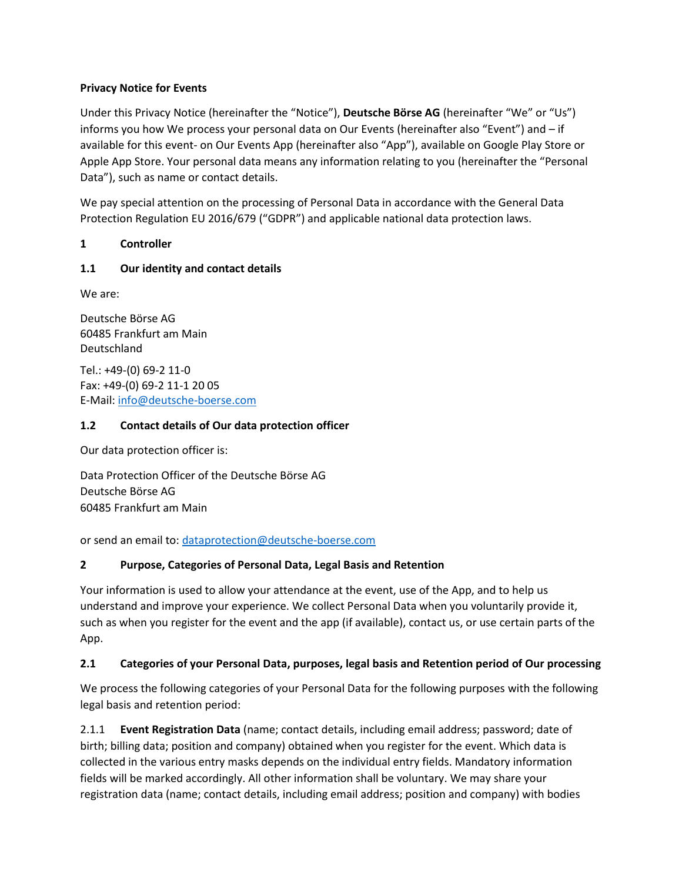### **Privacy Notice for Events**

Under this Privacy Notice (hereinafter the "Notice"), **Deutsche Börse AG** (hereinafter "We" or "Us") informs you how We process your personal data on Our Events (hereinafter also "Event") and – if available for this event- on Our Events App (hereinafter also "App"), available on Google Play Store or Apple App Store. Your personal data means any information relating to you (hereinafter the "Personal Data"), such as name or contact details.

We pay special attention on the processing of Personal Data in accordance with the General Data Protection Regulation EU 2016/679 ("GDPR") and applicable national data protection laws.

## **1 Controller**

### **1.1 Our identity and contact details**

We are:

Deutsche Börse AG 60485 Frankfurt am Main Deutschland

Tel.: +49-(0) 69-2 11-0 Fax: +49-(0) 69-2 11-1 20 05 E-Mail: [info@deutsche-boerse.com](mailto:info@deutsche-boerse.com)

### **1.2 Contact details of Our data protection officer**

Our data protection officer is:

Data Protection Officer of the Deutsche Börse AG Deutsche Börse AG 60485 Frankfurt am Main

or send an email to[: dataprotection@deutsche-boerse.com](mailto:dataprotection@deutsche-boerse.com)

## **2 Purpose, Categories of Personal Data, Legal Basis and Retention**

Your information is used to allow your attendance at the event, use of the App, and to help us understand and improve your experience. We collect Personal Data when you voluntarily provide it, such as when you register for the event and the app (if available), contact us, or use certain parts of the App.

## **2.1 Categories of your Personal Data, purposes, legal basis and Retention period of Our processing**

We process the following categories of your Personal Data for the following purposes with the following legal basis and retention period:

2.1.1 **Event Registration Data** (name; contact details, including email address; password; date of birth; billing data; position and company) obtained when you register for the event. Which data is collected in the various entry masks depends on the individual entry fields. Mandatory information fields will be marked accordingly. All other information shall be voluntary. We may share your registration data (name; contact details, including email address; position and company) with bodies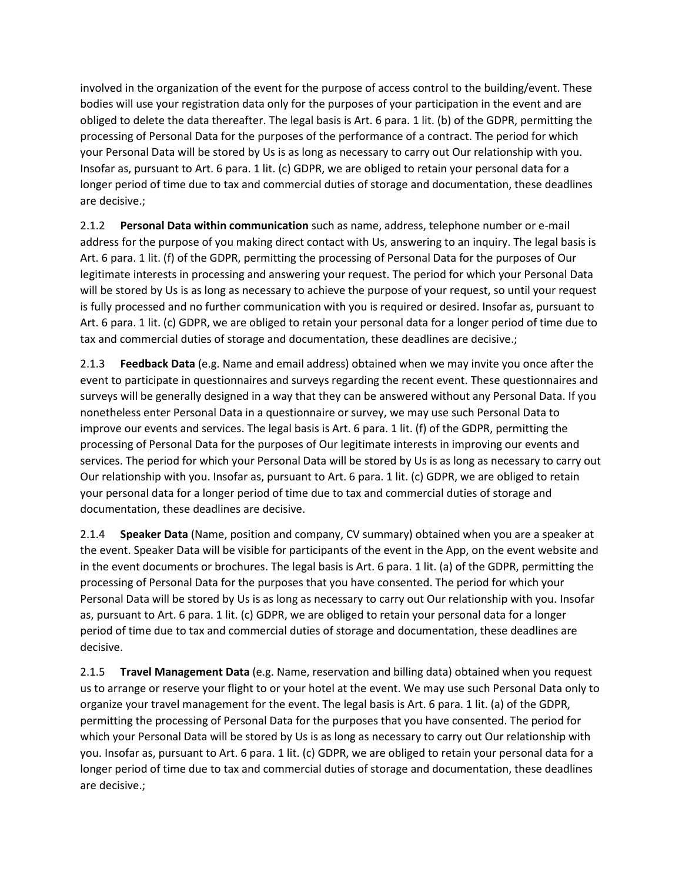involved in the organization of the event for the purpose of access control to the building/event. These bodies will use your registration data only for the purposes of your participation in the event and are obliged to delete the data thereafter. The legal basis is Art. 6 para. 1 lit. (b) of the GDPR, permitting the processing of Personal Data for the purposes of the performance of a contract. The period for which your Personal Data will be stored by Us is as long as necessary to carry out Our relationship with you. Insofar as, pursuant to Art. 6 para. 1 lit. (c) GDPR, we are obliged to retain your personal data for a longer period of time due to tax and commercial duties of storage and documentation, these deadlines are decisive.;

2.1.2 **Personal Data within communication** such as name, address, telephone number or e-mail address for the purpose of you making direct contact with Us, answering to an inquiry. The legal basis is Art. 6 para. 1 lit. (f) of the GDPR, permitting the processing of Personal Data for the purposes of Our legitimate interests in processing and answering your request. The period for which your Personal Data will be stored by Us is as long as necessary to achieve the purpose of your request, so until your request is fully processed and no further communication with you is required or desired. Insofar as, pursuant to Art. 6 para. 1 lit. (c) GDPR, we are obliged to retain your personal data for a longer period of time due to tax and commercial duties of storage and documentation, these deadlines are decisive.;

2.1.3 **Feedback Data** (e.g. Name and email address) obtained when we may invite you once after the event to participate in questionnaires and surveys regarding the recent event. These questionnaires and surveys will be generally designed in a way that they can be answered without any Personal Data. If you nonetheless enter Personal Data in a questionnaire or survey, we may use such Personal Data to improve our events and services. The legal basis is Art. 6 para. 1 lit. (f) of the GDPR, permitting the processing of Personal Data for the purposes of Our legitimate interests in improving our events and services. The period for which your Personal Data will be stored by Us is as long as necessary to carry out Our relationship with you. Insofar as, pursuant to Art. 6 para. 1 lit. (c) GDPR, we are obliged to retain your personal data for a longer period of time due to tax and commercial duties of storage and documentation, these deadlines are decisive.

2.1.4 **Speaker Data** (Name, position and company, CV summary) obtained when you are a speaker at the event. Speaker Data will be visible for participants of the event in the App, on the event website and in the event documents or brochures. The legal basis is Art. 6 para. 1 lit. (a) of the GDPR, permitting the processing of Personal Data for the purposes that you have consented. The period for which your Personal Data will be stored by Us is as long as necessary to carry out Our relationship with you. Insofar as, pursuant to Art. 6 para. 1 lit. (c) GDPR, we are obliged to retain your personal data for a longer period of time due to tax and commercial duties of storage and documentation, these deadlines are decisive.

2.1.5 **Travel Management Data** (e.g. Name, reservation and billing data) obtained when you request us to arrange or reserve your flight to or your hotel at the event. We may use such Personal Data only to organize your travel management for the event. The legal basis is Art. 6 para. 1 lit. (a) of the GDPR, permitting the processing of Personal Data for the purposes that you have consented. The period for which your Personal Data will be stored by Us is as long as necessary to carry out Our relationship with you. Insofar as, pursuant to Art. 6 para. 1 lit. (c) GDPR, we are obliged to retain your personal data for a longer period of time due to tax and commercial duties of storage and documentation, these deadlines are decisive.;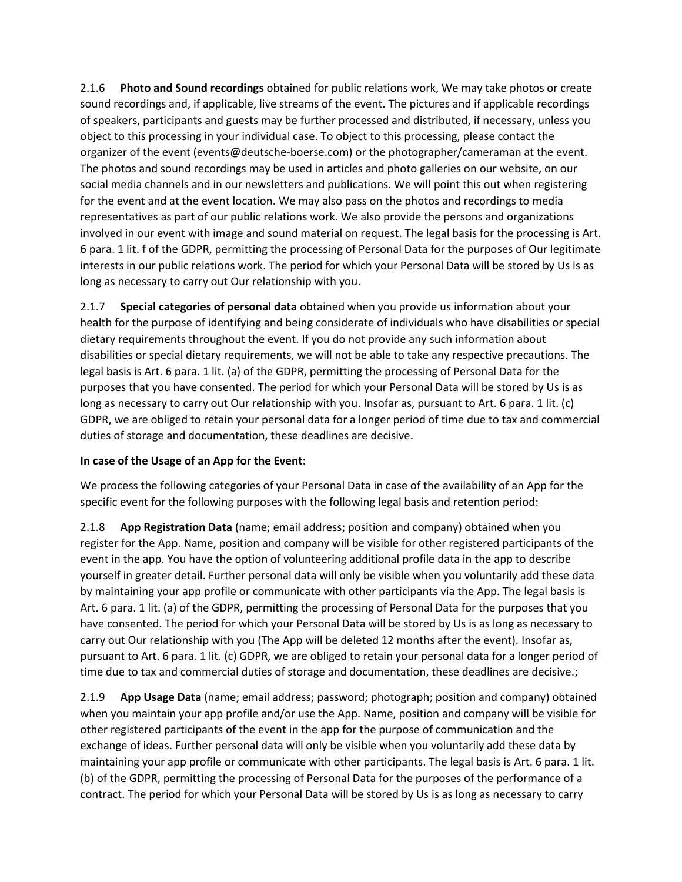2.1.6 **Photo and Sound recordings** obtained for public relations work, We may take photos or create sound recordings and, if applicable, live streams of the event. The pictures and if applicable recordings of speakers, participants and guests may be further processed and distributed, if necessary, unless you object to this processing in your individual case. To object to this processing, please contact the organizer of the event (events@deutsche-boerse.com) or the photographer/cameraman at the event. The photos and sound recordings may be used in articles and photo galleries on our website, on our social media channels and in our newsletters and publications. We will point this out when registering for the event and at the event location. We may also pass on the photos and recordings to media representatives as part of our public relations work. We also provide the persons and organizations involved in our event with image and sound material on request. The legal basis for the processing is Art. 6 para. 1 lit. f of the GDPR, permitting the processing of Personal Data for the purposes of Our legitimate interests in our public relations work. The period for which your Personal Data will be stored by Us is as long as necessary to carry out Our relationship with you.

2.1.7 **Special categories of personal data** obtained when you provide us information about your health for the purpose of identifying and being considerate of individuals who have disabilities or special dietary requirements throughout the event. If you do not provide any such information about disabilities or special dietary requirements, we will not be able to take any respective precautions. The legal basis is Art. 6 para. 1 lit. (a) of the GDPR, permitting the processing of Personal Data for the purposes that you have consented. The period for which your Personal Data will be stored by Us is as long as necessary to carry out Our relationship with you. Insofar as, pursuant to Art. 6 para. 1 lit. (c) GDPR, we are obliged to retain your personal data for a longer period of time due to tax and commercial duties of storage and documentation, these deadlines are decisive.

# **In case of the Usage of an App for the Event:**

We process the following categories of your Personal Data in case of the availability of an App for the specific event for the following purposes with the following legal basis and retention period:

2.1.8 **App Registration Data** (name; email address; position and company) obtained when you register for the App. Name, position and company will be visible for other registered participants of the event in the app. You have the option of volunteering additional profile data in the app to describe yourself in greater detail. Further personal data will only be visible when you voluntarily add these data by maintaining your app profile or communicate with other participants via the App. The legal basis is Art. 6 para. 1 lit. (a) of the GDPR, permitting the processing of Personal Data for the purposes that you have consented. The period for which your Personal Data will be stored by Us is as long as necessary to carry out Our relationship with you (The App will be deleted 12 months after the event). Insofar as, pursuant to Art. 6 para. 1 lit. (c) GDPR, we are obliged to retain your personal data for a longer period of time due to tax and commercial duties of storage and documentation, these deadlines are decisive.;

2.1.9 **App Usage Data** (name; email address; password; photograph; position and company) obtained when you maintain your app profile and/or use the App. Name, position and company will be visible for other registered participants of the event in the app for the purpose of communication and the exchange of ideas. Further personal data will only be visible when you voluntarily add these data by maintaining your app profile or communicate with other participants. The legal basis is Art. 6 para. 1 lit. (b) of the GDPR, permitting the processing of Personal Data for the purposes of the performance of a contract. The period for which your Personal Data will be stored by Us is as long as necessary to carry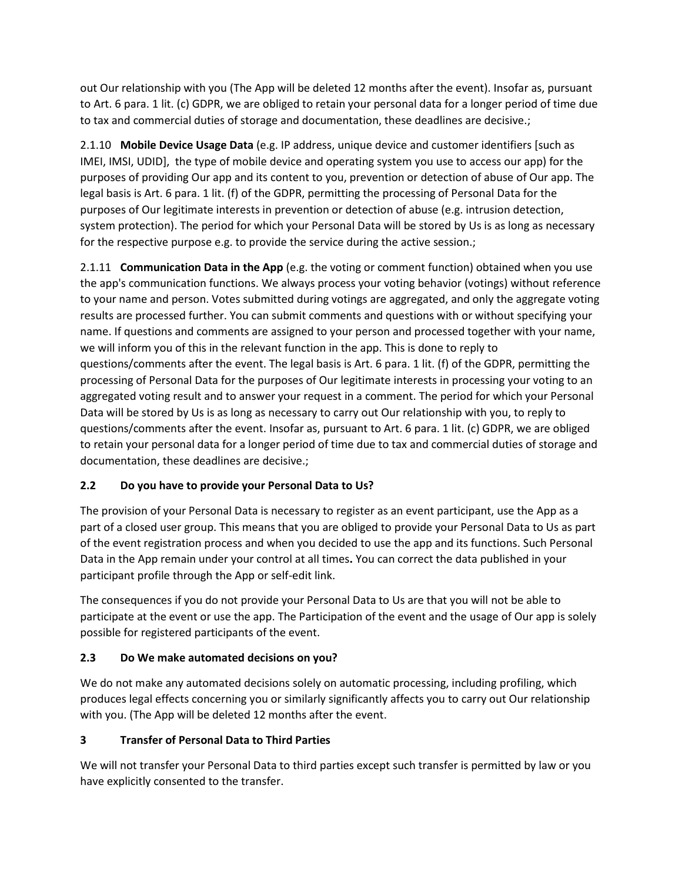out Our relationship with you (The App will be deleted 12 months after the event). Insofar as, pursuant to Art. 6 para. 1 lit. (c) GDPR, we are obliged to retain your personal data for a longer period of time due to tax and commercial duties of storage and documentation, these deadlines are decisive.;

2.1.10 **Mobile Device Usage Data** (e.g. IP address, unique device and customer identifiers [such as IMEI, IMSI, UDID], the type of mobile device and operating system you use to access our app) for the purposes of providing Our app and its content to you, prevention or detection of abuse of Our app. The legal basis is Art. 6 para. 1 lit. (f) of the GDPR, permitting the processing of Personal Data for the purposes of Our legitimate interests in prevention or detection of abuse (e.g. intrusion detection, system protection). The period for which your Personal Data will be stored by Us is as long as necessary for the respective purpose e.g. to provide the service during the active session.;

2.1.11 **Communication Data in the App** (e.g. the voting or comment function) obtained when you use the app's communication functions. We always process your voting behavior (votings) without reference to your name and person. Votes submitted during votings are aggregated, and only the aggregate voting results are processed further. You can submit comments and questions with or without specifying your name. If questions and comments are assigned to your person and processed together with your name, we will inform you of this in the relevant function in the app. This is done to reply to questions/comments after the event. The legal basis is Art. 6 para. 1 lit. (f) of the GDPR, permitting the processing of Personal Data for the purposes of Our legitimate interests in processing your voting to an aggregated voting result and to answer your request in a comment. The period for which your Personal Data will be stored by Us is as long as necessary to carry out Our relationship with you, to reply to questions/comments after the event. Insofar as, pursuant to Art. 6 para. 1 lit. (c) GDPR, we are obliged to retain your personal data for a longer period of time due to tax and commercial duties of storage and documentation, these deadlines are decisive.;

# **2.2 Do you have to provide your Personal Data to Us?**

The provision of your Personal Data is necessary to register as an event participant, use the App as a part of a closed user group. This means that you are obliged to provide your Personal Data to Us as part of the event registration process and when you decided to use the app and its functions. Such Personal Data in the App remain under your control at all times**.** You can correct the data published in your participant profile through the App or self-edit link.

The consequences if you do not provide your Personal Data to Us are that you will not be able to participate at the event or use the app. The Participation of the event and the usage of Our app is solely possible for registered participants of the event.

# **2.3 Do We make automated decisions on you?**

We do not make any automated decisions solely on automatic processing, including profiling, which produces legal effects concerning you or similarly significantly affects you to carry out Our relationship with you. (The App will be deleted 12 months after the event.

# **3 Transfer of Personal Data to Third Parties**

We will not transfer your Personal Data to third parties except such transfer is permitted by law or you have explicitly consented to the transfer.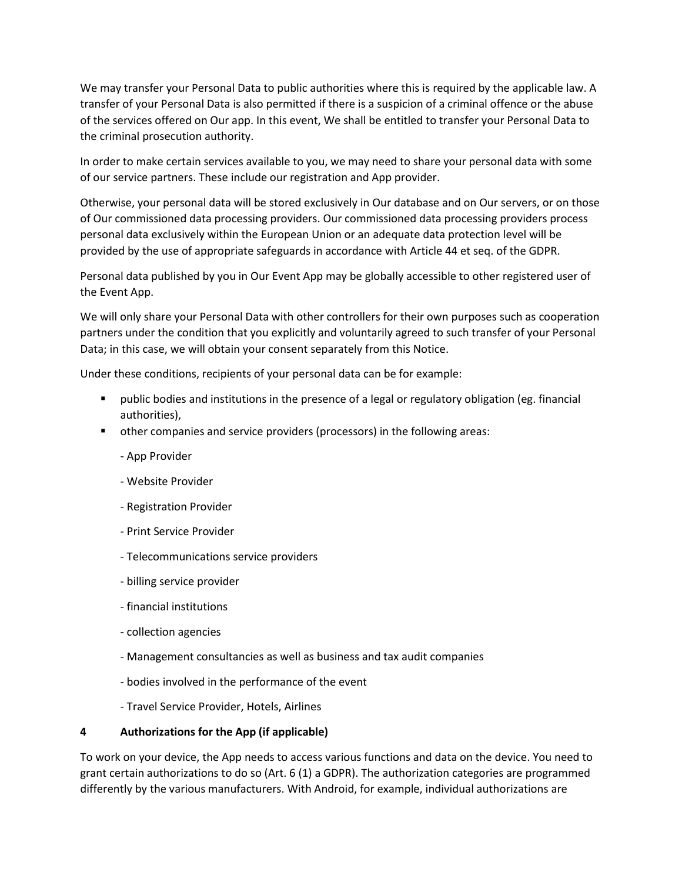We may transfer your Personal Data to public authorities where this is required by the applicable law. A transfer of your Personal Data is also permitted if there is a suspicion of a criminal offence or the abuse of the services offered on Our app. In this event, We shall be entitled to transfer your Personal Data to the criminal prosecution authority.

In order to make certain services available to you, we may need to share your personal data with some of our service partners. These include our registration and App provider.

Otherwise, your personal data will be stored exclusively in Our database and on Our servers, or on those of Our commissioned data processing providers. Our commissioned data processing providers process personal data exclusively within the European Union or an adequate data protection level will be provided by the use of appropriate safeguards in accordance with Article 44 et seq. of the GDPR.

Personal data published by you in Our Event App may be globally accessible to other registered user of the Event App.

We will only share your Personal Data with other controllers for their own purposes such as cooperation partners under the condition that you explicitly and voluntarily agreed to such transfer of your Personal Data; in this case, we will obtain your consent separately from this Notice.

Under these conditions, recipients of your personal data can be for example:

- public bodies and institutions in the presence of a legal or regulatory obligation (eg. financial authorities),
- other companies and service providers (processors) in the following areas:
	- App Provider
	- Website Provider
	- Registration Provider
	- Print Service Provider
	- Telecommunications service providers
	- billing service provider
	- financial institutions
	- collection agencies
	- Management consultancies as well as business and tax audit companies
	- bodies involved in the performance of the event
	- Travel Service Provider, Hotels, Airlines

## **4 Authorizations for the App (if applicable)**

To work on your device, the App needs to access various functions and data on the device. You need to grant certain authorizations to do so (Art. 6 (1) a GDPR). The authorization categories are programmed differently by the various manufacturers. With Android, for example, individual authorizations are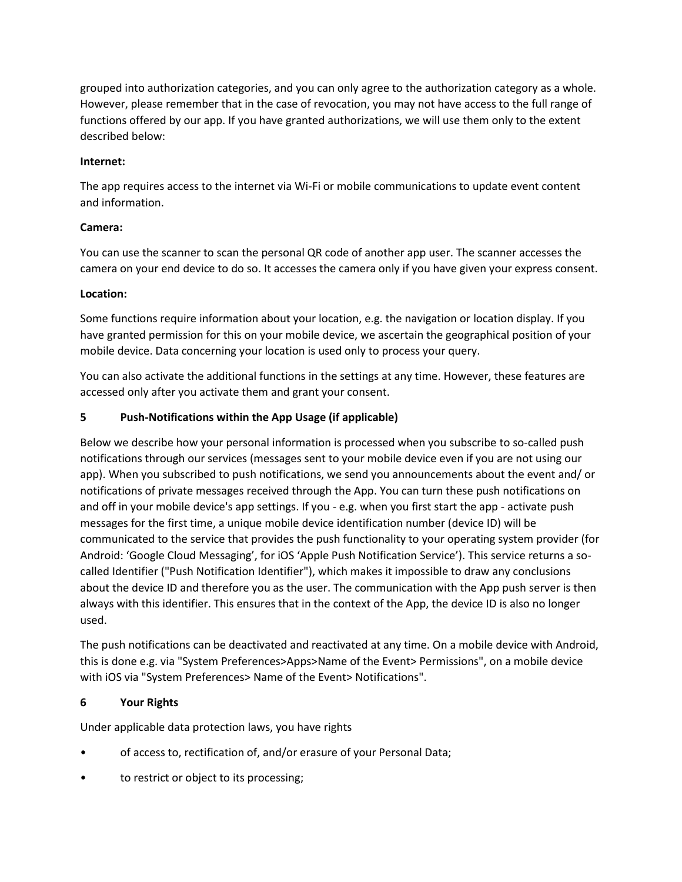grouped into authorization categories, and you can only agree to the authorization category as a whole. However, please remember that in the case of revocation, you may not have access to the full range of functions offered by our app. If you have granted authorizations, we will use them only to the extent described below:

### **Internet:**

The app requires access to the internet via Wi-Fi or mobile communications to update event content and information.

### **Camera:**

You can use the scanner to scan the personal QR code of another app user. The scanner accesses the camera on your end device to do so. It accesses the camera only if you have given your express consent.

### **Location:**

Some functions require information about your location, e.g. the navigation or location display. If you have granted permission for this on your mobile device, we ascertain the geographical position of your mobile device. Data concerning your location is used only to process your query.

You can also activate the additional functions in the settings at any time. However, these features are accessed only after you activate them and grant your consent.

### **5 Push-Notifications within the App Usage (if applicable)**

Below we describe how your personal information is processed when you subscribe to so-called push notifications through our services (messages sent to your mobile device even if you are not using our app). When you subscribed to push notifications, we send you announcements about the event and/ or notifications of private messages received through the App. You can turn these push notifications on and off in your mobile device's app settings. If you - e.g. when you first start the app - activate push messages for the first time, a unique mobile device identification number (device ID) will be communicated to the service that provides the push functionality to your operating system provider (for Android: 'Google Cloud Messaging', for iOS 'Apple Push Notification Service'). This service returns a socalled Identifier ("Push Notification Identifier"), which makes it impossible to draw any conclusions about the device ID and therefore you as the user. The communication with the App push server is then always with this identifier. This ensures that in the context of the App, the device ID is also no longer used.

The push notifications can be deactivated and reactivated at any time. On a mobile device with Android, this is done e.g. via "System Preferences>Apps>Name of the Event> Permissions", on a mobile device with iOS via "System Preferences> Name of the Event> Notifications".

### **6 Your Rights**

Under applicable data protection laws, you have rights

- of access to, rectification of, and/or erasure of your Personal Data;
- to restrict or object to its processing;